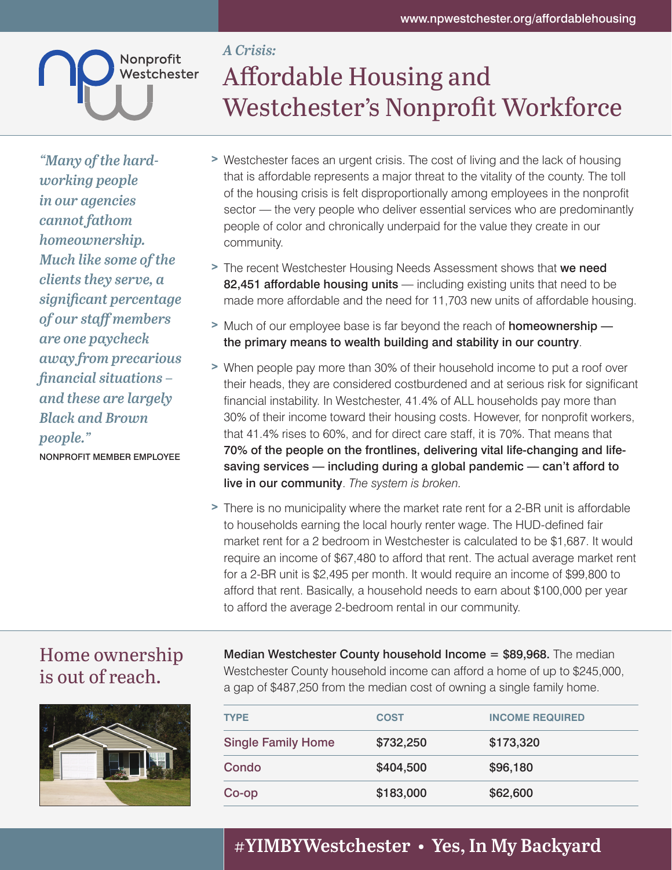

## *A Crisis:* Affordable Housing and Westchester's Nonprofit Workforce

*"Many of the hardworking people in our agencies cannot fathom homeownership. Much like some of the clients they serve, a significant percentage of our staff members are one paycheck away from precarious financial situations – and these are largely Black and Brown people."*

NONPROFIT MEMBER EMPLOYEE

- > Westchester faces an urgent crisis. The cost of living and the lack of housing that is affordable represents a major threat to the vitality of the county. The toll of the housing crisis is felt disproportionally among employees in the nonprofit sector — the very people who deliver essential services who are predominantly people of color and chronically underpaid for the value they create in our community.
- > The recent Westchester Housing Needs Assessment shows that we need 82,451 affordable housing units - including existing units that need to be made more affordable and the need for 11,703 new units of affordable housing.
- > Much of our employee base is far beyond the reach of **homeownership** the primary means to wealth building and stability in our country.
- > When people pay more than 30% of their household income to put a roof over their heads, they are considered costburdened and at serious risk for significant financial instability. In Westchester, 41.4% of ALL households pay more than 30% of their income toward their housing costs. However, for nonprofit workers, that 41.4% rises to 60%, and for direct care staff, it is 70%. That means that 70% of the people on the frontlines, delivering vital life-changing and lifesaving services — including during a global pandemic — can't afford to live in our community. *The system is broken.*
- > There is no municipality where the market rate rent for a 2-BR unit is affordable to households earning the local hourly renter wage. The HUD-defined fair market rent for a 2 bedroom in Westchester is calculated to be \$1,687. It would require an income of \$67,480 to afford that rent. The actual average market rent for a 2-BR unit is \$2,495 per month. It would require an income of \$99,800 to afford that rent. Basically, a household needs to earn about \$100,000 per year to afford the average 2-bedroom rental in our community.

## Home ownership is out of reach.



**Median Westchester County household Income**  $=$  **\$89,968.** The median Westchester County household income can afford a home of up to \$245,000, a gap of \$487,250 from the median cost of owning a single family home.

| <b>TYPE</b>               | <b>COST</b> | <b>INCOME REQUIRED</b> |
|---------------------------|-------------|------------------------|
| <b>Single Family Home</b> | \$732,250   | \$173,320              |
| Condo                     | \$404,500   | \$96,180               |
| Co-op                     | \$183,000   | \$62,600               |

## **#YIMBYWestchester • Yes, In My Backyard**